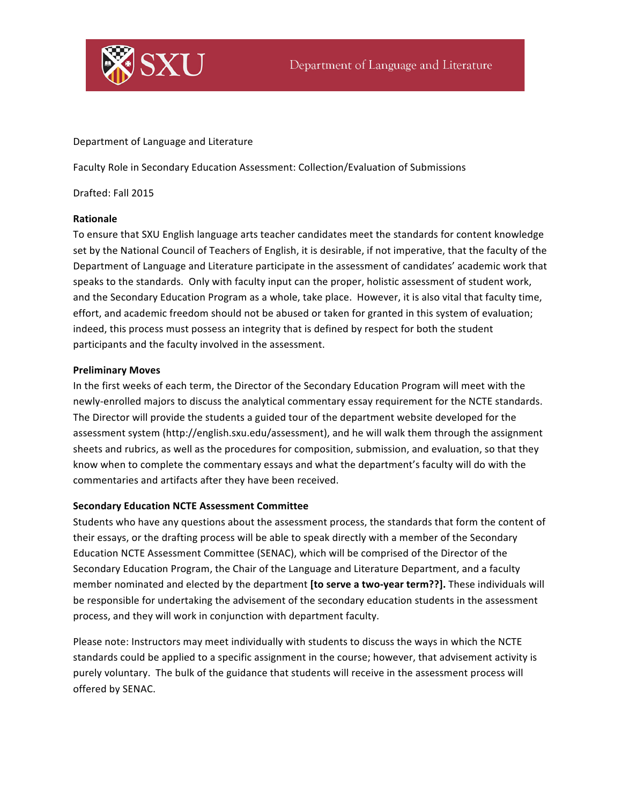

Department of Language and Literature

Faculty Role in Secondary Education Assessment: Collection/Evaluation of Submissions

Drafted: Fall 2015

## **Rationale**

To ensure that SXU English language arts teacher candidates meet the standards for content knowledge set by the National Council of Teachers of English, it is desirable, if not imperative, that the faculty of the Department of Language and Literature participate in the assessment of candidates' academic work that speaks to the standards. Only with faculty input can the proper, holistic assessment of student work, and the Secondary Education Program as a whole, take place. However, it is also vital that faculty time, effort, and academic freedom should not be abused or taken for granted in this system of evaluation; indeed, this process must possess an integrity that is defined by respect for both the student participants and the faculty involved in the assessment.

## **Preliminary Moves**

In the first weeks of each term, the Director of the Secondary Education Program will meet with the newly-enrolled majors to discuss the analytical commentary essay requirement for the NCTE standards. The Director will provide the students a guided tour of the department website developed for the assessment system (http://english.sxu.edu/assessment), and he will walk them through the assignment sheets and rubrics, as well as the procedures for composition, submission, and evaluation, so that they know when to complete the commentary essays and what the department's faculty will do with the commentaries and artifacts after they have been received.

## **Secondary Education NCTE Assessment Committee**

Students who have any questions about the assessment process, the standards that form the content of their essays, or the drafting process will be able to speak directly with a member of the Secondary Education NCTE Assessment Committee (SENAC), which will be comprised of the Director of the Secondary Education Program, the Chair of the Language and Literature Department, and a faculty member nominated and elected by the department **[to serve a two-year term??]**. These individuals will be responsible for undertaking the advisement of the secondary education students in the assessment process, and they will work in conjunction with department faculty.

Please note: Instructors may meet individually with students to discuss the ways in which the NCTE standards could be applied to a specific assignment in the course; however, that advisement activity is purely voluntary. The bulk of the guidance that students will receive in the assessment process will offered by SENAC.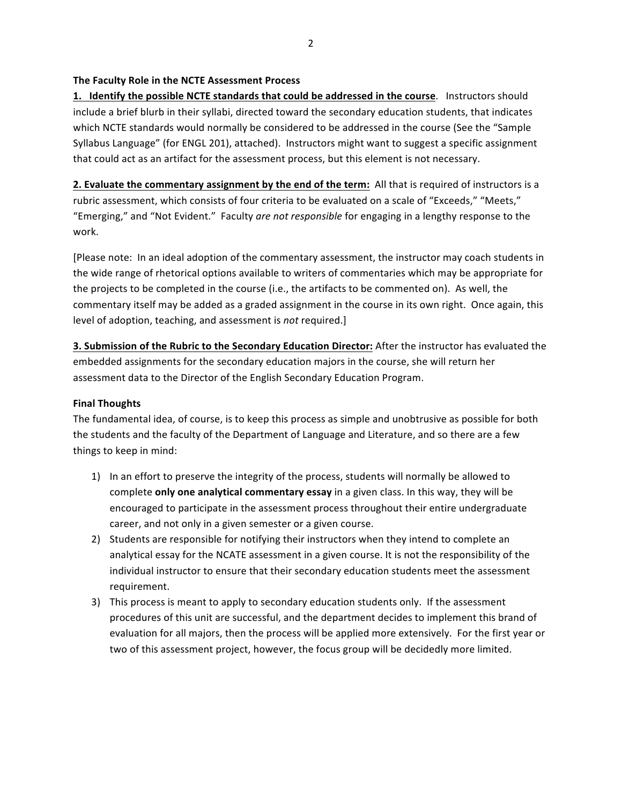## The Faculty Role in the NCTE Assessment Process

**1.** Identify the possible NCTE standards that could be addressed in the course. Instructors should include a brief blurb in their syllabi, directed toward the secondary education students, that indicates which NCTE standards would normally be considered to be addressed in the course (See the "Sample Syllabus Language" (for ENGL 201), attached). Instructors might want to suggest a specific assignment that could act as an artifact for the assessment process, but this element is not necessary.

**2.** Evaluate the commentary assignment by the end of the term: All that is required of instructors is a rubric assessment, which consists of four criteria to be evaluated on a scale of "Exceeds," "Meets," "Emerging," and "Not Evident." Faculty are not responsible for engaging in a lengthy response to the work. 

[Please note: In an ideal adoption of the commentary assessment, the instructor may coach students in the wide range of rhetorical options available to writers of commentaries which may be appropriate for the projects to be completed in the course (i.e., the artifacts to be commented on). As well, the commentary itself may be added as a graded assignment in the course in its own right. Once again, this level of adoption, teaching, and assessment is *not* required.]

**3. Submission of the Rubric to the Secondary Education Director:** After the instructor has evaluated the embedded assignments for the secondary education majors in the course, she will return her assessment data to the Director of the English Secondary Education Program.

## **Final Thoughts**

The fundamental idea, of course, is to keep this process as simple and unobtrusive as possible for both the students and the faculty of the Department of Language and Literature, and so there are a few things to keep in mind:

- 1) In an effort to preserve the integrity of the process, students will normally be allowed to complete only one analytical commentary essay in a given class. In this way, they will be encouraged to participate in the assessment process throughout their entire undergraduate career, and not only in a given semester or a given course.
- 2) Students are responsible for notifying their instructors when they intend to complete an analytical essay for the NCATE assessment in a given course. It is not the responsibility of the individual instructor to ensure that their secondary education students meet the assessment requirement.
- 3) This process is meant to apply to secondary education students only. If the assessment procedures of this unit are successful, and the department decides to implement this brand of evaluation for all majors, then the process will be applied more extensively. For the first year or two of this assessment project, however, the focus group will be decidedly more limited.